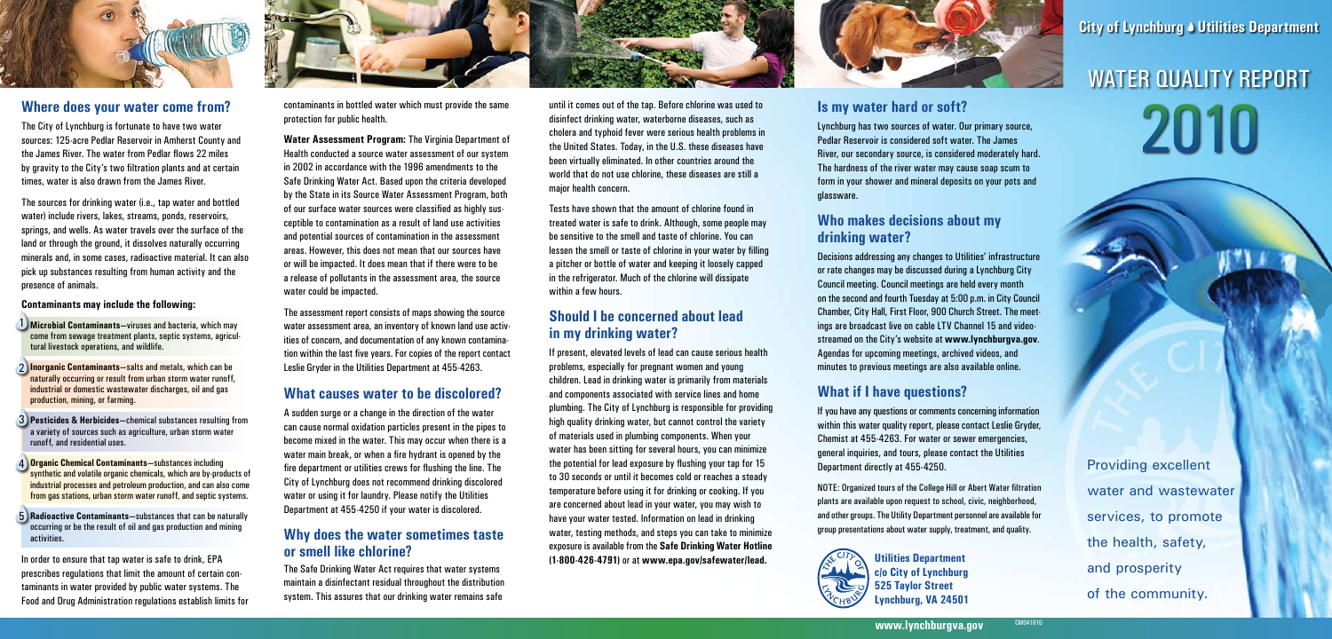**www.lynchburgva.gov**

# 2010 WATER QUALITY REPORT

contaminants in bottled water which must provide the same protection for public health.

**Water Assessment Program:** The Virginia Department of Health conducted a source water assessment of our system in 2002 in accordance with the 1996 amendments to the Safe Drinking Water Act. Based upon the criteria developed by the State in its Source Water Assessment Program, both of our surface water sources were classified as highly susceptible to contamination as a result of land use activities and potential sources of contamination in the assessment areas. However, this does not mean that our sources have or will be impacted. It does mean that if there were to be a release of pollutants in the assessment area, the source water could be impacted.

The assessment report consists of maps showing the source water assessment area, an inventory of known land use activities of concern, and documentation of any known contamination within the last five years. For copies of the report contact Leslie Gryder in the Utilities Department at 455-4263.

#### **What causes water to be discolored?**

A sudden surge or a change in the direction of the water can cause normal oxidation particles present in the pipes to become mixed in the water. This may occur when there is a water main break, or when a fire hydrant is opened by the fire department or utilities crews for flushing the line. The City of Lynchburg does not recommend drinking discolored water or using it for laundry. Please notify the Utilities Department at 455-4250 if your water is discolored.

#### **Why does the water sometimes taste or smell like chlorine?**

The Safe Drinking Water Act requires that water systems maintain a disinfectant residual throughout the distribution system. This assures that our drinking water remains safe

until it comes out of the tap. Before chlorine was used to disinfect drinking water, waterborne diseases, such as cholera and typhoid fever were serious health problems in the United States. Today, in the U.S. these diseases have been virtually eliminated. In other countries around the world that do not use chlorine, these diseases are still a major health concern.

Tests have shown that the amount of chlorine found in treated water is safe to drink. Although, some people may be sensitive to the smell and taste of chlorine. You can lessen the smell or taste of chlorine in your water by filling a pitcher or bottle of water and keeping it loosely capped in the refrigerator. Much of the chlorine will dissipate within a few hours.

#### **Should I be concerned about lead in my drinking water?**

If present, elevated levels of lead can cause serious health problems, especially for pregnant women and young children. Lead in drinking water is primarily from materials and components associated with service lines and home plumbing. The City of Lynchburg is responsible for providing high quality drinking water, but cannot control the variety of materials used in plumbing components. When your water has been sitting for several hours, you can minimize the potential for lead exposure by flushing your tap for 15 to 30 seconds or until it becomes cold or reaches a steady temperature before using it for drinking or cooking. If you are concerned about lead in your water, you may wish to have your water tested. Information on lead in drinking water, testing methods, and steps you can take to minimize exposure is available from the **Safe Drinking Water Hotline (1-800-426-4791)** or at **www.epa.gov/safewater/lead.**



#### **Where does your water come from?**

The City of Lynchburg is fortunate to have two water sources: 125-acre Pedlar Reservoir in Amherst County and the James River. The water from Pedlar flows 22 miles by gravity to the City's two filtration plants and at certain times, water is also drawn from the James River.

The sources for drinking water (i.e., tap water and bottled water) include rivers, lakes, streams, ponds, reservoirs, springs, and wells. As water travels over the surface of the land or through the ground, it dissolves naturally occurring minerals and, in some cases, radioactive material. It can also pick up substances resulting from human activity and the presence of animals.

#### **Contaminants may include the following:**

- 1 **Microbial Contaminants—**viruses and bacteria, which may come from sewage treatment plants, septic systems, agricultural livestock operations, and wildlife.
- 2 **Inorganic Contaminants—**salts and metals, which can be naturally occurring or result from urban storm water runoff, industrial or domestic wastewater discharges, oil and gas production, mining, or farming.
- 3 **Pesticides & Herbicides—**chemical substances resulting from a variety of sources such as agriculture, urban storm water runoff, and residential uses.
- 4 **Organic Chemical Contaminants—**substances including synthetic and volatile organic chemicals, which are by-products of industrial processes and petroleum production, and can also come from gas stations, urban storm water runoff, and septic systems.
- 5 **Radioactive Contaminants—**substances that can be naturally occurring or be the result of oil and gas production and mining activities.

In order to ensure that tap water is safe to drink, EPA prescribes regulations that limit the amount of certain contaminants in water provided by public water systems. The Food and Drug Administration regulations establish limits for



#### **Is my water hard or soft?**

Lynchburg has two sources of water. Our primary source, Pedlar Reservoir is considered soft water. The James River, our secondary source, is considered moderately hard. The hardness of the river water may cause soap scum to form in your shower and mineral deposits on your pots and glassware.

### **Who makes decisions about my drinking water?**

Decisions addressing any changes to Utilities' infrastructure or rate changes may be discussed during a Lynchburg City Council meeting. Council meetings are held every month on the second and fourth Tuesday at 5:00 p.m. in City Council Chamber, City Hall, First Floor, 900 Church Street. The meetings are broadcast live on cable LTV Channel 15 and videostreamed on the City's website at **www.lynchburgva.gov**. Agendas for upcoming meetings, archived videos, and minutes to previous meetings are also available online.

## **What if I have questions?**

If you have any questions or comments concerning information within this water quality report, please contact Leslie Gryder, Chemist at 455-4263. For water or sewer emergencies, general inquiries, and tours, please contact the Utilities Department directly at 455-4250.

NOTE: Organized tours of the College Hill or Abert Water filtration plants are available upon request to school, civic, neighborhood, and other groups. The Utility Department personnel are available for group presentations about water supply, treatment, and quality.



**Utilities Department c/o City of Lynchburg 525 Taylor Street Lynchburg, VA 24501** **City of Lynchburg & Utilities Department** 

Providing excellent water and wastewater services, to promote the health, safety, and prosperity of the community.